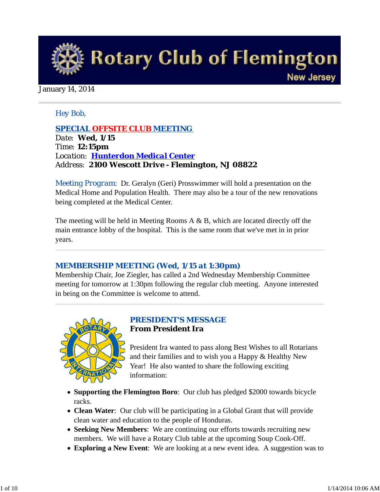

#### January 14, 2014

#### *Hey Bob,*

*SPECIAL OFFSITE CLUB MEETING Date: Wed, 1/15 Time: 12:15pm Location: Hunterdon Medical Center Address: 2100 Wescott Drive - Flemington, NJ 08822*

*Meeting Program*: Dr. Geralyn (Geri) Prosswimmer will hold a presentation on the Medical Home and Population Health. There may also be a tour of the new renovations being completed at the Medical Center.

The meeting will be held in Meeting Rooms  $A \& B$ , which are located directly off the main entrance lobby of the hospital. This is the same room that we've met in in prior years.

#### *MEMBERSHIP MEETING (Wed, 1/15 at 1:30pm)*

Membership Chair, Joe Ziegler, has called a 2nd Wednesday Membership Committee meeting for tomorrow at 1:30pm following the regular club meeting. Anyone interested in being on the Committee is welcome to attend.



#### *PRESIDENT'S MESSAGE* **From President Ira**

President Ira wanted to pass along Best Wishes to all Rotarians and their families and to wish you a Happy & Healthy New Year! He also wanted to share the following exciting information:

- **Supporting the Flemington Boro**: Our club has pledged \$2000 towards bicycle racks.
- **Clean Water**: Our club will be participating in a Global Grant that will provide clean water and education to the people of Honduras.
- **Seeking New Members**: We are continuing our efforts towards recruiting new members. We will have a Rotary Club table at the upcoming Soup Cook-Off.
- **Exploring a New Event**: We are looking at a new event idea. A suggestion was to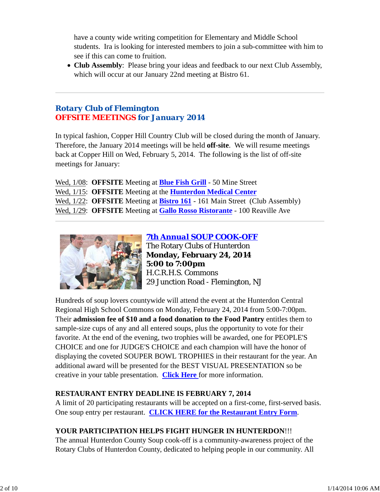have a county wide writing competition for Elementary and Middle School students. Ira is looking for interested members to join a sub-committee with him to see if this can come to fruition.

**Club Assembly**: Please bring your ideas and feedback to our next Club Assembly, which will occur at our January 22nd meeting at Bistro 61.

## *Rotary Club of Flemington OFFSITE MEETINGS for January 2014*

In typical fashion, Copper Hill Country Club will be closed during the month of January. Therefore, the January 2014 meetings will be held **off-site**. We will resume meetings back at Copper Hill on Wed, February 5, 2014. The following is the list of off-site meetings for January:

Wed, 1/08: **OFFSITE** Meeting at **Blue Fish Grill** - 50 Mine Street Wed, 1/15: **OFFSITE** Meeting at the **Hunterdon Medical Center** Wed, 1/22: **OFFSITE** Meeting at **Bistro 161** - 161 Main Street (Club Assembly) Wed, 1/29: **OFFSITE** Meeting at **Gallo Rosso Ristorante** - 100 Reaville Ave



*7th Annual SOUP COOK-OFF* The Rotary Clubs of Hunterdon **Monday, February 24, 2014 5:00 to 7:00pm** H.C.R.H.S. Commons 29 Junction Road - Flemington, NJ

Hundreds of soup lovers countywide will attend the event at the Hunterdon Central Regional High School Commons on Monday, February 24, 2014 from 5:00-7:00pm. Their **admission fee of \$10 and a food donation to the Food Pantry** entitles them to sample-size cups of any and all entered soups, plus the opportunity to vote for their favorite. At the end of the evening, two trophies will be awarded, one for PEOPLE'S CHOICE and one for JUDGE'S CHOICE and each champion will have the honor of displaying the coveted SOUPER BOWL TROPHIES in their restaurant for the year. An additional award will be presented for the BEST VISUAL PRESENTATION so be creative in your table presentation. **Click Here** for more information.

### **RESTAURANT ENTRY DEADLINE IS FEBRUARY 7, 2014**

A limit of 20 participating restaurants will be accepted on a first-come, first-served basis. One soup entry per restaurant. **CLICK HERE for the Restaurant Entry Form**.

## **YOUR PARTICIPATION HELPS FIGHT HUNGER IN HUNTERDON**!!!

The annual Hunterdon County Soup cook-off is a community-awareness project of the Rotary Clubs of Hunterdon County, dedicated to helping people in our community. All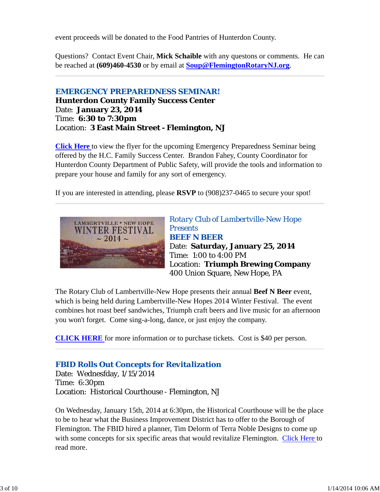event proceeds will be donated to the Food Pantries of Hunterdon County.

Questions? Contact Event Chair, **Mick Schaible** with any questons or comments. He can be reached at **(609)460-4530** or by email at **Soup@FlemingtonRotaryNJ.org**.

#### *EMERGENCY PREPAREDNESS SEMINAR!* **Hunterdon County Family Success Center** Date: **January 23, 2014** Time: **6:30 to 7:30pm** Location: **3 East Main Street - Flemington, NJ**

**Click Here** to view the flyer for the upcoming Emergency Preparedness Seminar being offered by the H.C. Family Success Center. Brandon Fahey, County Coordinator for Hunterdon County Department of Public Safety, will provide the tools and information to prepare your house and family for any sort of emergency.

If you are interested in attending, please **RSVP** to (908)237-0465 to secure your spot!



*Rotary Club of Lambertville-New Hope Presents BEEF N BEER* Date: **Saturday, January 25, 2014** Time: 1:00 to 4:00 PM Location: **Triumph Brewing Company** 400 Union Square, New Hope, PA

The Rotary Club of Lambertville-New Hope presents their annual **Beef N Beer** event, which is being held during Lambertville-New Hopes 2014 Winter Festival. The event combines hot roast beef sandwiches, Triumph craft beers and live music for an afternoon you won't forget. Come sing-a-long, dance, or just enjoy the company.

**CLICK HERE** for more information or to purchase tickets. Cost is \$40 per person.

## *FBID Rolls Out Concepts for Revitalization*

Date: Wednesfday, 1/15/2014 Time: 6:30pm Location: Historical Courthouse - Flemington, NJ

On Wednesday, January 15th, 2014 at 6:30pm, the Historical Courthouse will be the place to be to hear what the Business Improvement District has to offer to the Borough of Flemington. The FBID hired a planner, Tim Delorm of Terra Noble Designs to come up with some concepts for six specific areas that would revitalize Flemington. Click Here to read more.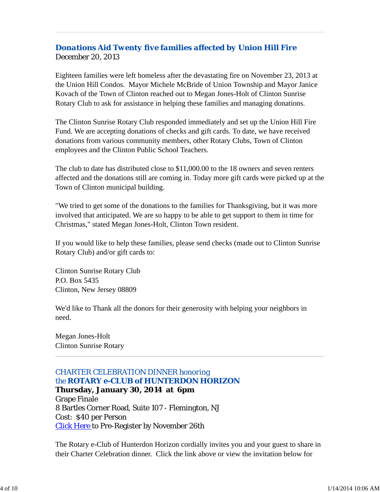## *Donations Aid Twenty five families affected by Union Hill Fire* December 20, 2013

Eighteen families were left homeless after the devastating fire on November 23, 2013 at the Union Hill Condos. Mayor Michele McBride of Union Township and Mayor Janice Kovach of the Town of Clinton reached out to Megan Jones-Holt of Clinton Sunrise Rotary Club to ask for assistance in helping these families and managing donations.

The Clinton Sunrise Rotary Club responded immediately and set up the Union Hill Fire Fund. We are accepting donations of checks and gift cards. To date, we have received donations from various community members, other Rotary Clubs, Town of Clinton employees and the Clinton Public School Teachers.

The club to date has distributed close to \$11,000.00 to the 18 owners and seven renters affected and the donations still are coming in. Today more gift cards were picked up at the Town of Clinton municipal building.

"We tried to get some of the donations to the families for Thanksgiving, but it was more involved that anticipated. We are so happy to be able to get support to them in time for Christmas," stated Megan Jones-Holt, Clinton Town resident.

If you would like to help these families, please send checks (made out to Clinton Sunrise Rotary Club) and/or gift cards to:

Clinton Sunrise Rotary Club P.O. Box 5435 Clinton, New Jersey 08809

We'd like to Thank all the donors for their generosity with helping your neighbors in need.

Megan Jones-Holt Clinton Sunrise Rotary

## *CHARTER CELEBRATION DINNER honoring the ROTARY e-CLUB of HUNTERDON HORIZON*

**Thursday, January 30, 2014 at 6pm** Grape Finale 8 Bartles Corner Road, Suite 107 - Flemington, NJ Cost: \$40 per Person **Click Here to Pre-Register by November 26th** 

The Rotary e-Club of Hunterdon Horizon cordially invites you and your guest to share in their Charter Celebration dinner. Click the link above or view the invitation below for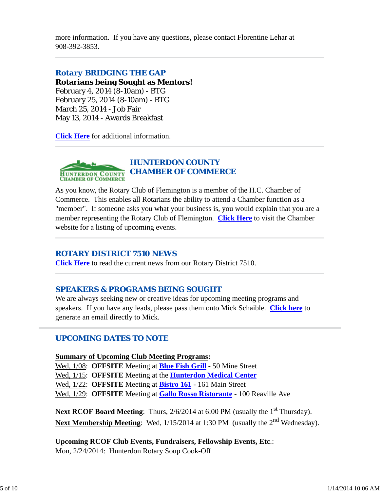more information. If you have any questions, please contact Florentine Lehar at 908-392-3853.

#### *Rotary BRIDGING THE GAP*

**Rotarians being Sought as Mentors!** February 4, 2014 (8-10am) - BTG February 25, 2014 (8-10am) - BTG March 25, 2014 - Job Fair May 13, 2014 - Awards Breakfast

**Click Here** for additional information.



As you know, the Rotary Club of Flemington is a member of the H.C. Chamber of Commerce. This enables all Rotarians the ability to attend a Chamber function as a "member". If someone asks you what your business is, you would explain that you are a member representing the Rotary Club of Flemington. **Click Here** to visit the Chamber website for a listing of upcoming events.

#### *ROTARY DISTRICT 7510 NEWS*

**Click Here** to read the current news from our Rotary District 7510.

### *SPEAKERS & PROGRAMS BEING SOUGHT*

We are always seeking new or creative ideas for upcoming meeting programs and speakers. If you have any leads, please pass them onto Mick Schaible. **Click here** to generate an email directly to Mick.

### *UPCOMING DATES TO NOTE*

**Summary of Upcoming Club Meeting Programs:** Wed, 1/08: **OFFSITE** Meeting at **Blue Fish Grill** - 50 Mine Street Wed, 1/15: **OFFSITE** Meeting at the **Hunterdon Medical Center** Wed, 1/22: **OFFSITE** Meeting at **Bistro 161** - 161 Main Street Wed, 1/29: **OFFSITE** Meeting at **Gallo Rosso Ristorante** - 100 Reaville Ave

**Next RCOF Board Meeting**: Thurs, 2/6/2014 at 6:00 PM (usually the 1<sup>st</sup> Thursday). Next Membership Meeting: Wed,  $1/15/2014$  at 1:30 PM (usually the 2<sup>nd</sup> Wednesday).

**Upcoming RCOF Club Events, Fundraisers, Fellowship Events, Etc**.: Mon, 2/24/2014: Hunterdon Rotary Soup Cook-Off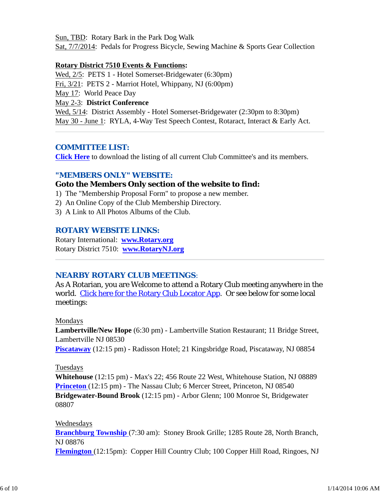Sun, TBD: Rotary Bark in the Park Dog Walk Sat, 7/7/2014: Pedals for Progress Bicycle, Sewing Machine & Sports Gear Collection

#### **Rotary District 7510 Events & Functions:**

Wed, 2/5: PETS 1 - Hotel Somerset-Bridgewater (6:30pm) Fri, 3/21: PETS 2 - Marriot Hotel, Whippany, NJ (6:00pm) May 17: World Peace Day May 2-3: **District Conference** Wed, 5/14: District Assembly - Hotel Somerset-Bridgewater (2:30pm to 8:30pm) May 30 - June 1: RYLA, 4-Way Test Speech Contest, Rotaract, Interact & Early Act.

### *COMMITTEE LIST:*

**Click Here** to download the listing of all current Club Committee's and its members.

### *"MEMBERS ONLY" WEBSITE:*

### **Goto the Members Only section of the website to find:**

- 1) The "Membership Proposal Form" to propose a new member.
- 2) An Online Copy of the Club Membership Directory.
- 3) A Link to All Photos Albums of the Club.

### *ROTARY WEBSITE LINKS:*

Rotary International: **www.Rotary.org** Rotary District 7510: **www.RotaryNJ.org**

## *NEARBY ROTARY CLUB MEETINGS:*

As A Rotarian, you are Welcome to attend a Rotary Club meeting anywhere in the world. Click here for the Rotary Club Locator App. Or see below for some local meetings:

Mondays

**Lambertville/New Hope** (6:30 pm) - Lambertville Station Restaurant; 11 Bridge Street, Lambertville NJ 08530 **Piscataway** (12:15 pm) - Radisson Hotel; 21 Kingsbridge Road, Piscataway, NJ 08854

### Tuesdays

**Whitehouse** (12:15 pm) - Max's 22; 456 Route 22 West, Whitehouse Station, NJ 08889 **Princeton** (12:15 pm) - The Nassau Club; 6 Mercer Street, Princeton, NJ 08540 **Bridgewater-Bound Brook** (12:15 pm) - Arbor Glenn; 100 Monroe St, Bridgewater 08807

#### Wednesdays

**Branchburg Township** (7:30 am): Stoney Brook Grille; 1285 Route 28, North Branch, NJ 08876

**Flemington** (12:15pm): Copper Hill Country Club; 100 Copper Hill Road, Ringoes, NJ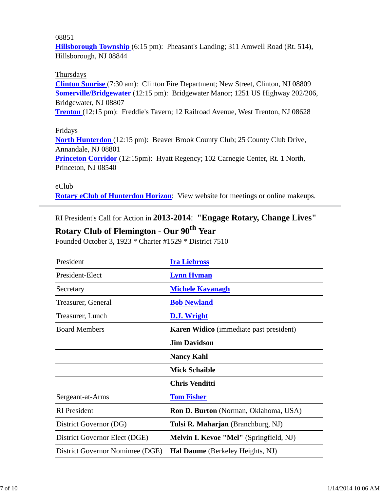#### 08851

**Hillsborough Township** (6:15 pm): Pheasant's Landing; 311 Amwell Road (Rt. 514), Hillsborough, NJ 08844

#### Thursdays

**Clinton Sunrise** (7:30 am): Clinton Fire Department; New Street, Clinton, NJ 08809 **Somerville/Bridgewater** (12:15 pm): Bridgewater Manor; 1251 US Highway 202/206, Bridgewater, NJ 08807

**Trenton** (12:15 pm): Freddie's Tavern; 12 Railroad Avenue, West Trenton, NJ 08628

#### Fridays

**North Hunterdon** (12:15 pm): Beaver Brook County Club; 25 County Club Drive, Annandale, NJ 08801 **Princeton Corridor** (12:15pm): Hyatt Regency; 102 Carnegie Center, Rt. 1 North, Princeton, NJ 08540

#### eClub

**Rotary eClub of Hunterdon Horizon**: View website for meetings or online makeups.

RI President's Call for Action in **2013-2014**: **"Engage Rotary, Change Lives"**

# **Rotary Club of Flemington - Our 90th Year**

Founded October 3, 1923 \* Charter #1529 \* District 7510

| President                       | <b>Ira Liebross</b>                            |  |
|---------------------------------|------------------------------------------------|--|
| President-Elect                 | <b>Lynn Hyman</b>                              |  |
| Secretary                       | <b>Michele Kavanagh</b>                        |  |
| Treasurer, General              | <b>Bob Newland</b>                             |  |
| Treasurer, Lunch                | <b>D.J.</b> Wright                             |  |
| <b>Board Members</b>            | Karen Widico (immediate past president)        |  |
|                                 | <b>Jim Davidson</b>                            |  |
|                                 | <b>Nancy Kahl</b>                              |  |
|                                 | <b>Mick Schaible</b>                           |  |
|                                 | <b>Chris Venditti</b>                          |  |
| Sergeant-at-Arms                | <b>Tom Fisher</b>                              |  |
| <b>RI</b> President             | <b>Ron D. Burton</b> (Norman, Oklahoma, USA)   |  |
| District Governor (DG)          | Tulsi R. Maharjan (Branchburg, NJ)             |  |
| District Governor Elect (DGE)   | <b>Melvin I. Kevoe "Mel"</b> (Springfield, NJ) |  |
| District Governor Nomimee (DGE) | Hal Daume (Berkeley Heights, NJ)               |  |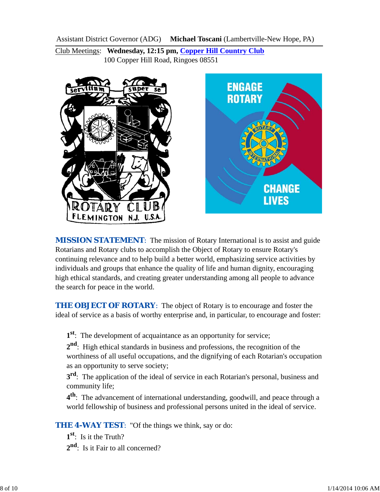Assistant District Governor (ADG) **Michael Toscani** (Lambertville-New Hope, PA)

Club Meetings: **Wednesday, 12:15 pm, Copper Hill Country Club** 100 Copper Hill Road, Ringoes 08551



*MISSION STATEMENT*: The mission of Rotary International is to assist and guide Rotarians and Rotary clubs to accomplish the Object of Rotary to ensure Rotary's continuing relevance and to help build a better world, emphasizing service activities by individuals and groups that enhance the quality of life and human dignity, encouraging high ethical standards, and creating greater understanding among all people to advance the search for peace in the world.

**THE OBJECT OF ROTARY:** The object of Rotary is to encourage and foster the ideal of service as a basis of worthy enterprise and, in particular, to encourage and foster:

**1st**: The development of acquaintance as an opportunity for service;

**2nd**: High ethical standards in business and professions, the recognition of the worthiness of all useful occupations, and the dignifying of each Rotarian's occupation as an opportunity to serve society;

**3<sup>rd</sup>**: The application of the ideal of service in each Rotarian's personal, business and community life;

**4th**: The advancement of international understanding, goodwill, and peace through a world fellowship of business and professional persons united in the ideal of service.

**THE 4-WAY TEST:** "Of the things we think, say or do:

**1st**: Is it the Truth?

2<sup>nd</sup>: Is it Fair to all concerned?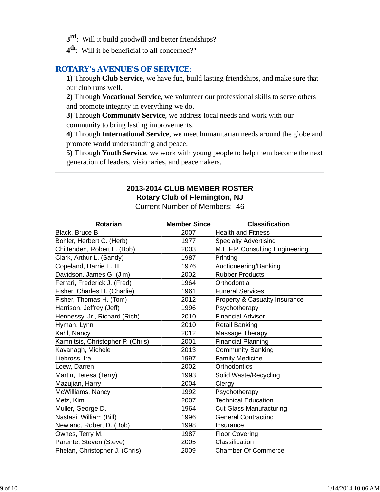- **3rd**: Will it build goodwill and better friendships?
- **4th**: Will it be beneficial to all concerned?"

#### *ROTARY's AVENUE'S OF SERVICE*:

**1)** Through **Club Service**, we have fun, build lasting friendships, and make sure that our club runs well.

**2)** Through **Vocational Service**, we volunteer our professional skills to serve others and promote integrity in everything we do.

**3)** Through **Community Service**, we address local needs and work with our community to bring lasting improvements.

**4)** Through **International Service**, we meet humanitarian needs around the globe and promote world understanding and peace.

**5)** Through **Youth Service**, we work with young people to help them become the next generation of leaders, visionaries, and peacemakers.

## **2013-2014 CLUB MEMBER ROSTER Rotary Club of Flemington, NJ**

Current Number of Members: 46

| <b>Rotarian</b>                   | <b>Member Since</b> | <b>Classification</b>                    |
|-----------------------------------|---------------------|------------------------------------------|
| Black, Bruce B.                   | 2007                | <b>Health and Fitness</b>                |
| Bohler, Herbert C. (Herb)         | 1977                | <b>Specialty Advertising</b>             |
| Chittenden, Robert L. (Bob)       | 2003                | M.E.F.P. Consulting Engineering          |
| Clark, Arthur L. (Sandy)          | 1987                | Printing                                 |
| Copeland, Harrie E. III           | 1976                | Auctioneering/Banking                    |
| Davidson, James G. (Jim)          | 2002                | <b>Rubber Products</b>                   |
| Ferrari, Frederick J. (Fred)      | 1964                | Orthodontia                              |
| Fisher, Charles H. (Charlie)      | 1961                | <b>Funeral Services</b>                  |
| Fisher, Thomas H. (Tom)           | 2012                | <b>Property &amp; Casualty Insurance</b> |
| Harrison, Jeffrey (Jeff)          | 1996                | Psychotherapy                            |
| Hennessy, Jr., Richard (Rich)     | 2010                | <b>Financial Advisor</b>                 |
| Hyman, Lynn                       | 2010                | <b>Retail Banking</b>                    |
| Kahl, Nancy                       | 2012                | Massage Therapy                          |
| Kamnitsis, Christopher P. (Chris) | 2001                | <b>Financial Planning</b>                |
| Kavanagh, Michele                 | 2013                | <b>Community Banking</b>                 |
| Liebross, Ira                     | 1997                | <b>Family Medicine</b>                   |
| Loew, Darren                      | 2002                | Orthodontics                             |
| Martin, Teresa (Terry)            | 1993                | Solid Waste/Recycling                    |
| Mazujian, Harry                   | 2004                | Clergy                                   |
| McWilliams, Nancy                 | 1992                | Psychotherapy                            |
| Metz, Kim                         | 2007                | <b>Technical Education</b>               |
| Muller, George D.                 | 1964                | <b>Cut Glass Manufacturing</b>           |
| Nastasi, William (Bill)           | 1996                | <b>General Contracting</b>               |
| Newland, Robert D. (Bob)          | 1998                | Insurance                                |
| Ownes, Terry M.                   | 1987                | <b>Floor Covering</b>                    |
| Parente, Steven (Steve)           | 2005                | Classification                           |
| Phelan, Christopher J. (Chris)    | 2009                | <b>Chamber Of Commerce</b>               |